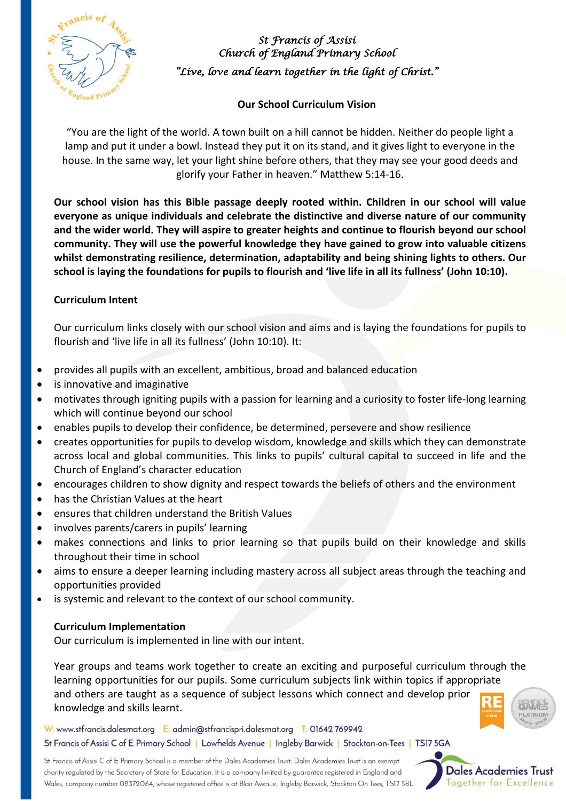

*St Francis of Assisi Church of England Primary School "Live, love and learn together in the light of Christ."* 

# **Our School Curriculum Vision**

"You are the light of the world. A town built on a hill cannot be hidden. Neither do people light a lamp and put it under a bowl. Instead they put it on its stand, and it gives light to everyone in the house. In the same way, let your light shine before others, that they may see your good deeds and glorify your Father in heaven." Matthew 5:14-16.

**Our school vision has this Bible passage deeply rooted within. Children in our school will value everyone as unique individuals and celebrate the distinctive and diverse nature of our community and the wider world. They will aspire to greater heights and continue to flourish beyond our school community. They will use the powerful knowledge they have gained to grow into valuable citizens whilst demonstrating resilience, determination, adaptability and being shining lights to others. Our** school is laying the foundations for pupils to flourish and 'live life in all its fullness' (John 10:10).

## **Curriculum Intent**

Our curriculum links closely with our school vision and aims and is laying the foundations for pupils to flourish and 'live life in all its fullness' (John 10:10). It:

- provides all pupils with an excellent, ambitious, broad and balanced education
- is innovative and imaginative
- motivates through igniting pupils with a passion for learning and a curiosity to foster life-long learning which will continue beyond our school
- enables pupils to develop their confidence, be determined, persevere and show resilience
- creates opportunities for pupils to develop wisdom, knowledge and skills which they can demonstrate across local and global communities. This links to pupils' cultural capital to succeed in life and the Church of England's character education
- encourages children to show dignity and respect towards the beliefs of others and the environment
- has the Christian Values at the heart
- ensures that children understand the British Values
- involves parents/carers in pupils' learning
- makes connections and links to prior learning so that pupils build on their knowledge and skills throughout their time in school
- aims to ensure a deeper learning including mastery across all subject areas through the teaching and opportunities provided
- is systemic and relevant to the context of our school community.

### **Curriculum Implementation**

Our curriculum is implemented in line with our intent.

Year groups and teams work together to create an exciting and purposeful curriculum through the learning opportunities for our pupils. Some curriculum subjects link within topics if appropriate and others are taught as a sequence of subject lessons which connect and develop prior knowledge and skills learnt.



St Francis of Assisi C of E Primary School is a member of the Dales Academies Trust. Dales Academies Trust is an exempt charity regulated by the Secretary of State for Education. It is a company limited by guarantee registered in England and Wales, company number 08372064, whose registered office is at Blair Avenue, Ingleby Barwick, Stockton On Tees, TS17 5BL